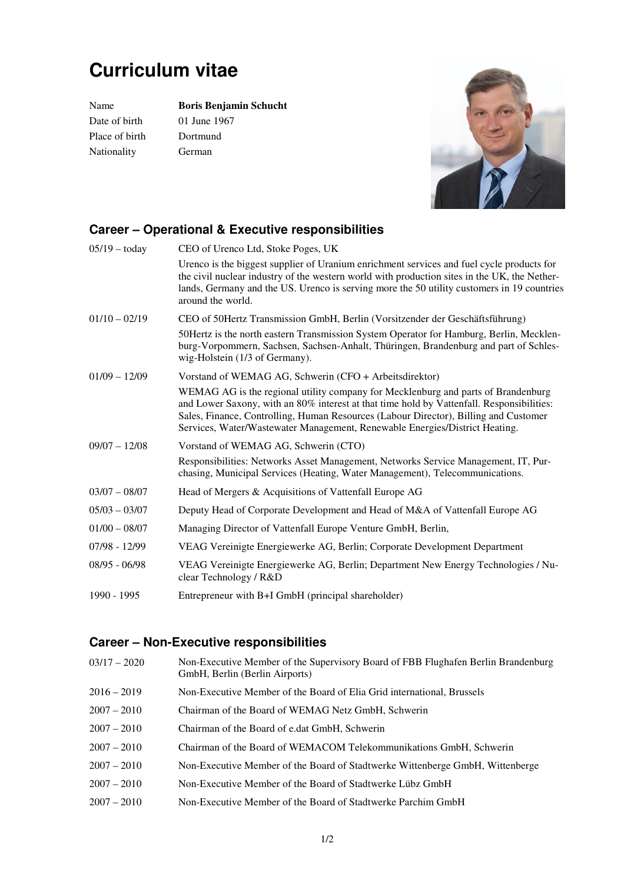## **Curriculum vitae**

Date of birth 01 June 1967 Place of birth Dortmund Nationality German

Name **Boris Benjamin Schucht** 



## **Career – Operational & Executive responsibilities**

| $05/19 -$ today | CEO of Urenco Ltd, Stoke Poges, UK                                                                                                                                                                                                                                                                                                                    |
|-----------------|-------------------------------------------------------------------------------------------------------------------------------------------------------------------------------------------------------------------------------------------------------------------------------------------------------------------------------------------------------|
|                 | Urenco is the biggest supplier of Uranium enrichment services and fuel cycle products for<br>the civil nuclear industry of the western world with production sites in the UK, the Nether-<br>lands, Germany and the US. Urenco is serving more the 50 utility customers in 19 countries<br>around the world.                                          |
| $01/10 - 02/19$ | CEO of 50Hertz Transmission GmbH, Berlin (Vorsitzender der Geschäftsführung)                                                                                                                                                                                                                                                                          |
|                 | 50 Hertz is the north eastern Transmission System Operator for Hamburg, Berlin, Mecklen-<br>burg-Vorpommern, Sachsen, Sachsen-Anhalt, Thüringen, Brandenburg and part of Schles-<br>wig-Holstein (1/3 of Germany).                                                                                                                                    |
| $01/09 - 12/09$ | Vorstand of WEMAG AG, Schwerin (CFO + Arbeitsdirektor)                                                                                                                                                                                                                                                                                                |
|                 | WEMAG AG is the regional utility company for Mecklenburg and parts of Brandenburg<br>and Lower Saxony, with an 80% interest at that time hold by Vattenfall. Responsibilities:<br>Sales, Finance, Controlling, Human Resources (Labour Director), Billing and Customer<br>Services, Water/Wastewater Management, Renewable Energies/District Heating. |
| $09/07 - 12/08$ | Vorstand of WEMAG AG, Schwerin (CTO)                                                                                                                                                                                                                                                                                                                  |
|                 | Responsibilities: Networks Asset Management, Networks Service Management, IT, Pur-<br>chasing, Municipal Services (Heating, Water Management), Telecommunications.                                                                                                                                                                                    |
| $03/07 - 08/07$ | Head of Mergers & Acquisitions of Vattenfall Europe AG                                                                                                                                                                                                                                                                                                |
| $05/03 - 03/07$ | Deputy Head of Corporate Development and Head of M&A of Vattenfall Europe AG                                                                                                                                                                                                                                                                          |
| $01/00 - 08/07$ | Managing Director of Vattenfall Europe Venture GmbH, Berlin,                                                                                                                                                                                                                                                                                          |
| $07/98 - 12/99$ | VEAG Vereinigte Energiewerke AG, Berlin; Corporate Development Department                                                                                                                                                                                                                                                                             |
| $08/95 - 06/98$ | VEAG Vereinigte Energiewerke AG, Berlin; Department New Energy Technologies / Nu-<br>clear Technology / R&D                                                                                                                                                                                                                                           |
| 1990 - 1995     | Entrepreneur with B+I GmbH (principal shareholder)                                                                                                                                                                                                                                                                                                    |

## **Career – Non-Executive responsibilities**

| $03/17 - 2020$ | Non-Executive Member of the Supervisory Board of FBB Flughafen Berlin Brandenburg<br>GmbH, Berlin (Berlin Airports) |
|----------------|---------------------------------------------------------------------------------------------------------------------|
| $2016 - 2019$  | Non-Executive Member of the Board of Elia Grid international, Brussels                                              |
| $2007 - 2010$  | Chairman of the Board of WEMAG Netz GmbH, Schwerin                                                                  |
| $2007 - 2010$  | Chairman of the Board of e.dat GmbH, Schwerin                                                                       |
| $2007 - 2010$  | Chairman of the Board of WEMACOM Telekommunikations GmbH, Schwerin                                                  |
| $2007 - 2010$  | Non-Executive Member of the Board of Stadtwerke Wittenberge GmbH, Wittenberge                                       |
| $2007 - 2010$  | Non-Executive Member of the Board of Stadtwerke Lübz GmbH                                                           |
| $2007 - 2010$  | Non-Executive Member of the Board of Stadtwerke Parchim GmbH                                                        |